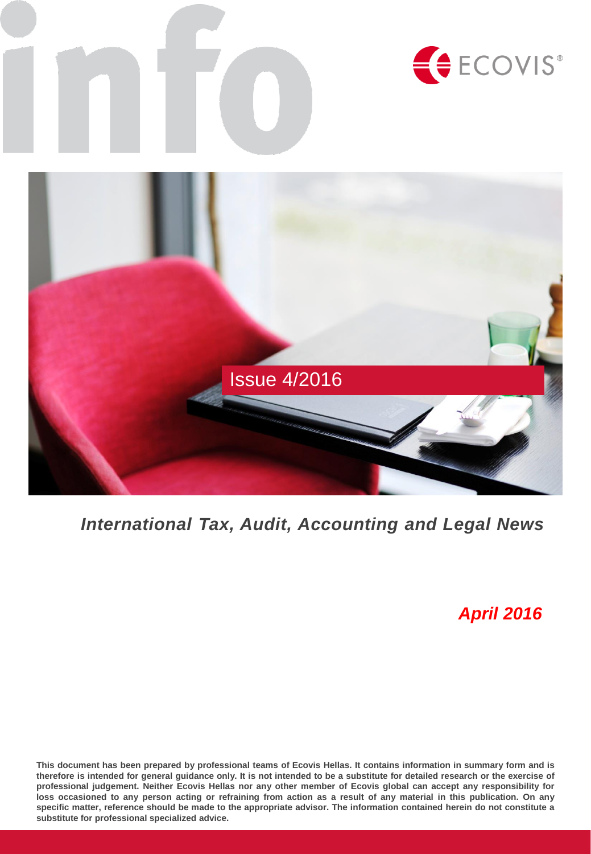

## *International Tax, Audit, Accounting and Legal News*

## *April 2016*

This document has been prepared by professional teams of Ecovis Hellas. It contains information in summary form and is therefore is intended for general guidance only. It is not intended to be a substitute for detailed research or the exercise of professional judgement. Neither Ecovis Hellas nor any other member of Ecovis global can accept any responsibility for loss occasioned to any person acting or refraining from action as a result of any material in this publication. On any specific matter, reference should be made to the appropriate advisor. The information contained herein do not constitute a **substitute for professional specialized advice.**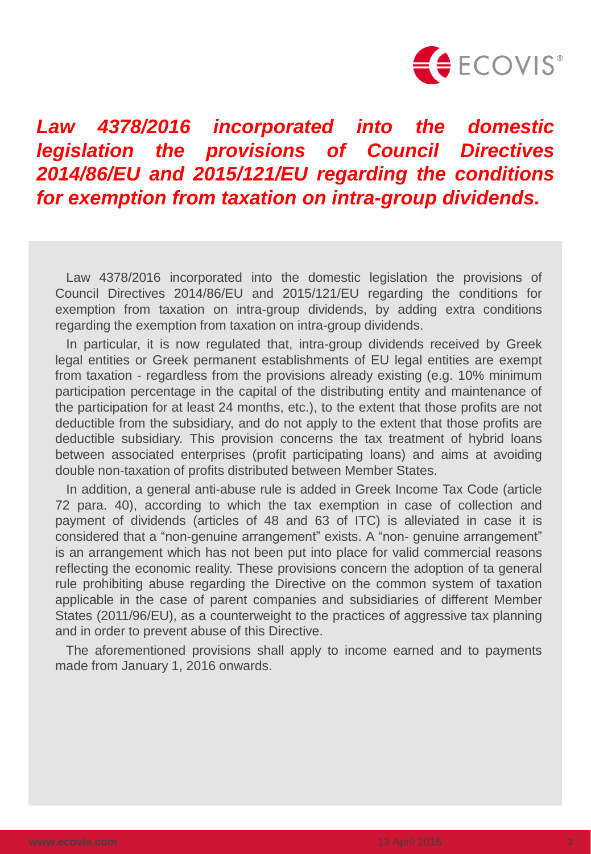

# *legislation the provisions of Council Directives 2014/86/EU and 2015/121/EU regarding the conditions for exemption from taxation on intra-group dividends.*

Law 4378/2016 incorporated into the domestic legislation the provisions of Council Directives 2014/86/EU and 2015/121/EU regarding the conditions for exemption from taxation on intra-group dividends, by adding extra conditions regarding the exemption from taxation on intra-group dividends.

In particular, it is now regulated that, intra-group dividends received by Greek legal entities or Greek permanent establishments of EU legal entities are exempt from taxation - regardless from the provisions already existing (e.g. 10% minimum participation percentage in the capital of the distributing entity and maintenance of the participation for at least 24 months, etc.), to the extent that those profits are not deductible from the subsidiary, and do not apply to the extent that those profits are deductible subsidiary. This provision concerns the tax treatment of hybrid loans between associated enterprises (profit participating loans) and aims at avoiding double non-taxation of profits distributed between Member States.

In addition, a general anti-abuse rule is added in Greek Income Tax Code (article 72 para. 40), according to which the tax exemption in case of collection and payment of dividends (articles of 48 and 63 of ITC) is alleviated in case it is considered that a "non-genuine arrangement" exists. A "non- genuine arrangement" is an arrangement which has not been put into place for valid commercial reasons reflecting the economic reality. These provisions concern the adoption of ta general rule prohibiting abuse regarding the Directive on the common system of taxation applicable in the case of parent companies and subsidiaries of different Member States (2011/96/EU), as a counterweight to the practices of aggressive tax planning and in order to prevent abuse of this Directive. **Law 4378/2016 incorporated into the domestic<br>
<b>equisition the provisions of Council Directives<br>
2014/86/EU and 2015/121/EU regarding the conditions<br>
for exemption from taxation on intra-group dividends.<br>
Law 4378/2016 inc** 

The aforementioned provisions shall apply to income earned and to payments made from January 1, 2016 onwards.